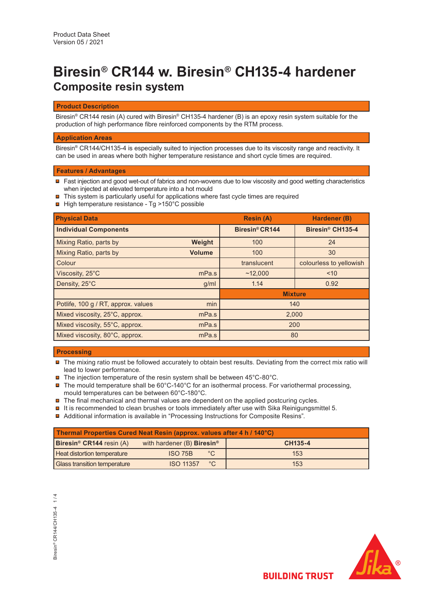# **Biresin® CR144 w. Biresin® CH135-4 hardener Composite resin system**

## **Product Description**

Biresin® CR144 resin (A) cured with Biresin® CH135-4 hardener (B) is an epoxy resin system suitable for the production of high performance fibre reinforced components by the RTM process.

# **Application Areas**

Biresin® CR144/CH135-4 is especially suited to injection processes due to its viscosity range and reactivity. It can be used in areas where both higher temperature resistance and short cycle times are required.

#### **Features / Advantages**

- Fast injection and good wet-out of fabrics and non-wovens due to low viscosity and good wetting characteristics when injected at elevated temperature into a hot mould
- $\blacksquare$  This system is particularly useful for applications where fast cycle times are required
- **□** High temperature resistance Tg >150°C possible

| <b>Physical Data</b>                |               | <b>Resin (A)</b> | Hardener (B)                 |  |
|-------------------------------------|---------------|------------------|------------------------------|--|
| <b>Individual Components</b>        |               | Biresin® CR144   | Biresin <sup>®</sup> CH135-4 |  |
| Mixing Ratio, parts by              | Weight        | 100              | 24                           |  |
| Mixing Ratio, parts by              | <b>Volume</b> | 100              | 30                           |  |
| Colour                              |               | translucent      | colourless to yellowish      |  |
| Viscosity, 25°C                     | mPa.s         | ~12,000          | ~10                          |  |
| Density, 25°C                       | g/ml          | 1.14             | 0.92                         |  |
|                                     |               | <b>Mixture</b>   |                              |  |
| Potlife, 100 g / RT, approx. values | min           | 140              |                              |  |
| Mixed viscosity, 25°C, approx.      | mPa.s         | 2,000            |                              |  |
| Mixed viscosity, 55°C, approx.      | mPa.s         | 200              |                              |  |
| Mixed viscosity, 80°C, approx.      | mPa.s         | 80               |                              |  |

### **Processing**

 $\blacksquare$  The mixing ratio must be followed accurately to obtain best results. Deviating from the correct mix ratio will lead to lower performance.

- $\blacksquare$  The injection temperature of the resin system shall be between 45°C-80°C.
- $\blacksquare$  The mould temperature shall be 60°C-140°C for an isothermal process. For variothermal processing, mould temperatures can be between 60°C-180°C.
- $\blacksquare$  The final mechanical and thermal values are dependent on the applied postcuring cycles.
- $\blacksquare$  It is recommended to clean brushes or tools immediately after use with Sika Reinigungsmittel 5.
- Additional information is available in "Processing Instructions for Composite Resins".

| Thermal Properties Cured Neat Resin (approx. values after 4 h / 140°C) |                                          |              |         |  |  |  |  |
|------------------------------------------------------------------------|------------------------------------------|--------------|---------|--|--|--|--|
| <b>Biresin<sup>®</sup> CR144</b> resin $(A)$                           | with hardener $(B)$ Biresin <sup>®</sup> |              | CH135-4 |  |  |  |  |
| <b>Heat distortion temperature</b>                                     | <b>ISO 75B</b>                           | $^{\circ}$ C | 153     |  |  |  |  |
| <b>Glass transition temperature</b>                                    | <b>ISO 11357</b>                         | °C           | 153     |  |  |  |  |

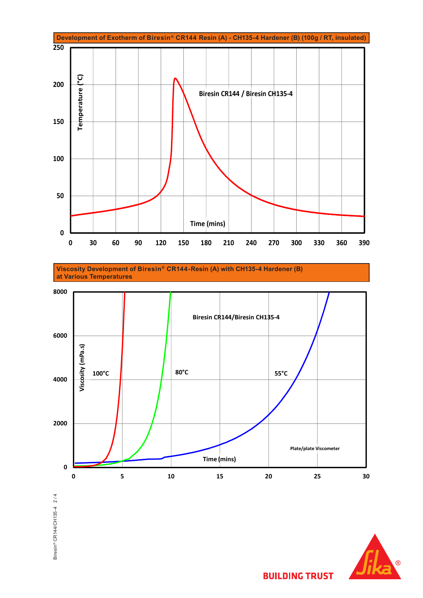

**Viscosity Development of Biresin® CR144-Resin (A) with CH135-4 Hardener (B) at Various Temperatures**



Biresin® CR144/CH135-4 2/4 Biresin® CR144/CH135-4 2 / 4



**BUILDING TRUST**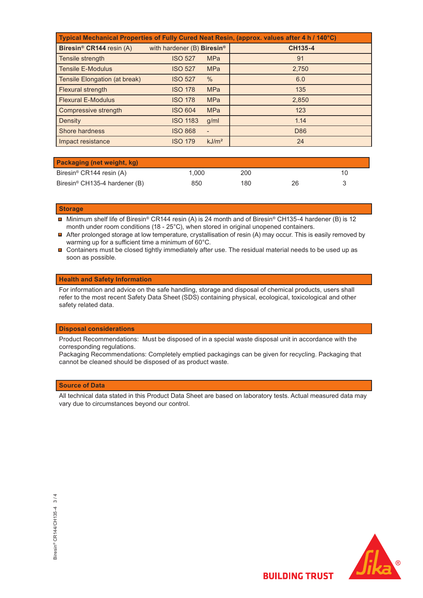| Typical Mechanical Properties of Fully Cured Neat Resin, (approx. values after 4 h / 140°C) |                                        |                   |                |  |  |  |
|---------------------------------------------------------------------------------------------|----------------------------------------|-------------------|----------------|--|--|--|
| Biresin <sup>®</sup> CR144 resin (A)                                                        | with hardener (B) Biresin <sup>®</sup> |                   | <b>CH135-4</b> |  |  |  |
| Tensile strength                                                                            | <b>ISO 527</b>                         | <b>MPa</b>        | 91             |  |  |  |
| <b>Tensile E-Modulus</b>                                                                    | <b>ISO 527</b>                         | <b>MPa</b>        | 2,750          |  |  |  |
| Tensile Elongation (at break)                                                               | <b>ISO 527</b>                         | $\%$              | 6.0            |  |  |  |
| Flexural strength                                                                           | <b>ISO 178</b>                         | <b>MPa</b>        | 135            |  |  |  |
| <b>Flexural E-Modulus</b>                                                                   | <b>ISO 178</b>                         | <b>MPa</b>        | 2,850          |  |  |  |
| Compressive strength                                                                        | <b>ISO 604</b>                         | <b>MPa</b>        | 123            |  |  |  |
| Density                                                                                     | <b>ISO 1183</b>                        | q/ml              | 1.14           |  |  |  |
| Shore hardness                                                                              | <b>ISO 868</b>                         | -                 | D86            |  |  |  |
| Impact resistance                                                                           | <b>ISO 179</b>                         | kJ/m <sup>2</sup> | 24             |  |  |  |

| <b>Packaging (net weight, kg)</b>         |       |     |    |  |
|-------------------------------------------|-------|-----|----|--|
| Biresin® CR144 resin (A)                  | 1.000 | 200 |    |  |
| Biresin <sup>®</sup> CH135-4 hardener (B) | 850   | 180 | 26 |  |

#### **Storage**

- Minimum shelf life of Biresin® CR144 resin (A) is 24 month and of Biresin® CH135-4 hardener (B) is 12  $\,$ month under room conditions (18 - 25°C), when stored in original unopened containers.
- After prolonged storage at low temperature, crystallisation of resin (A) may occur. This is easily removed by warming up for a sufficient time a minimum of 60°C.
- $\blacksquare$  Containers must be closed tightly immediately after use. The residual material needs to be used up as soon as possible.

## **Health and Safety Information**

For information and advice on the safe handling, storage and disposal of chemical products, users shall refer to the most recent Safety Data Sheet (SDS) containing physical, ecological, toxicological and other safety related data.

#### **Disposal considerations**

Product Recommendations: Must be disposed of in a special waste disposal unit in accordance with the corresponding regulations.

Packaging Recommendations: Completely emptied packagings can be given for recycling. Packaging that cannot be cleaned should be disposed of as product waste.

# **Source of Data**

All technical data stated in this Product Data Sheet are based on laboratory tests. Actual measured data may vary due to circumstances beyond our control.